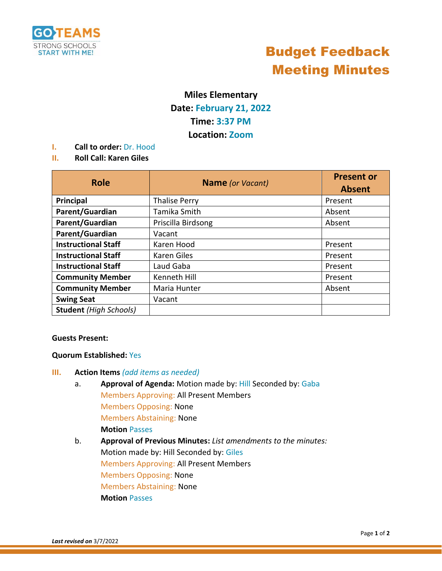

## Budget Feedback Meeting Minutes

### **Miles Elementary**

### **Date: February 21, 2022 Time: 3:37 PM**

**Location: Zoom** 

- **I. Call to order:** Dr. Hood
- **II. Roll Call: Karen Giles**

| <b>Role</b>                   | <b>Name</b> (or Vacant) | <b>Present or</b><br><b>Absent</b> |
|-------------------------------|-------------------------|------------------------------------|
| Principal                     | <b>Thalise Perry</b>    | Present                            |
| Parent/Guardian               | Tamika Smith            | Absent                             |
| Parent/Guardian               | Priscilla Birdsong      | Absent                             |
| Parent/Guardian               | Vacant                  |                                    |
| <b>Instructional Staff</b>    | Karen Hood              | Present                            |
| <b>Instructional Staff</b>    | Karen Giles             | Present                            |
| <b>Instructional Staff</b>    | Laud Gaba               | Present                            |
| <b>Community Member</b>       | Kenneth Hill            | Present                            |
| <b>Community Member</b>       | Maria Hunter            | Absent                             |
| <b>Swing Seat</b>             | Vacant                  |                                    |
| <b>Student</b> (High Schools) |                         |                                    |

#### **Guests Present:**

#### **Quorum Established:** Yes

#### **III. Action Items** *(add items as needed)*

- a. **Approval of Agenda:** Motion made by: Hill Seconded by: Gaba Members Approving: All Present Members Members Opposing: None Members Abstaining: None **Motion** Passes
- b. **Approval of Previous Minutes:** *List amendments to the minutes:* Motion made by: Hill Seconded by: Giles Members Approving: All Present Members Members Opposing: None Members Abstaining: None **Motion** Passes